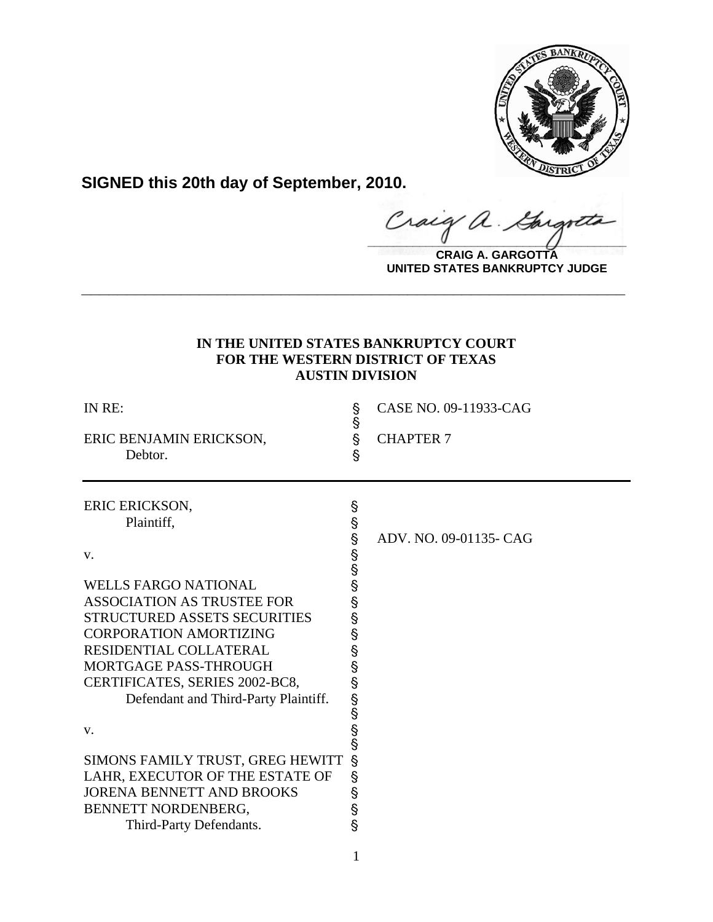

**SIGNED this 20th day of September, 2010.**

Craig a. Gargote

**CRAIG A. GARGOTTA UNITED STATES BANKRUPTCY JUDGE**

# **IN THE UNITED STATES BANKRUPTCY COURT FOR THE WESTERN DISTRICT OF TEXAS AUSTIN DIVISION**

**\_\_\_\_\_\_\_\_\_\_\_\_\_\_\_\_\_\_\_\_\_\_\_\_\_\_\_\_\_\_\_\_\_\_\_\_\_\_\_\_\_\_\_\_\_\_\_\_\_\_\_\_\_\_\_\_\_\_\_\_**

| IN RE:<br>ERIC BENJAMIN ERICKSON,<br>Debtor.                                                                                                                                                                                                                                                                                                                                                                                                                                   | <b>လ် လ</b><br>§                                                               | CASE NO. 09-11933-CAG<br><b>CHAPTER 7</b> |
|--------------------------------------------------------------------------------------------------------------------------------------------------------------------------------------------------------------------------------------------------------------------------------------------------------------------------------------------------------------------------------------------------------------------------------------------------------------------------------|--------------------------------------------------------------------------------|-------------------------------------------|
| ERIC ERICKSON,<br>Plaintiff,<br>V.<br><b>WELLS FARGO NATIONAL</b><br><b>ASSOCIATION AS TRUSTEE FOR</b><br><b>STRUCTURED ASSETS SECURITIES</b><br><b>CORPORATION AMORTIZING</b><br>RESIDENTIAL COLLATERAL<br><b>MORTGAGE PASS-THROUGH</b><br>CERTIFICATES, SERIES 2002-BC8,<br>Defendant and Third-Party Plaintiff.<br>V.<br>SIMONS FAMILY TRUST, GREG HEWITT<br>LAHR, EXECUTOR OF THE ESTATE OF<br>JORENA BENNETT AND BROOKS<br>BENNETT NORDENBERG,<br>Third-Party Defendants. | Ş<br>www.m<br><b>ပွဲ</b> တွေ<br>Ş<br>§<br>Ş<br>690000<br>Ŝ<br>Ş<br>S<br>S<br>S | ADV. NO. 09-01135- CAG                    |

1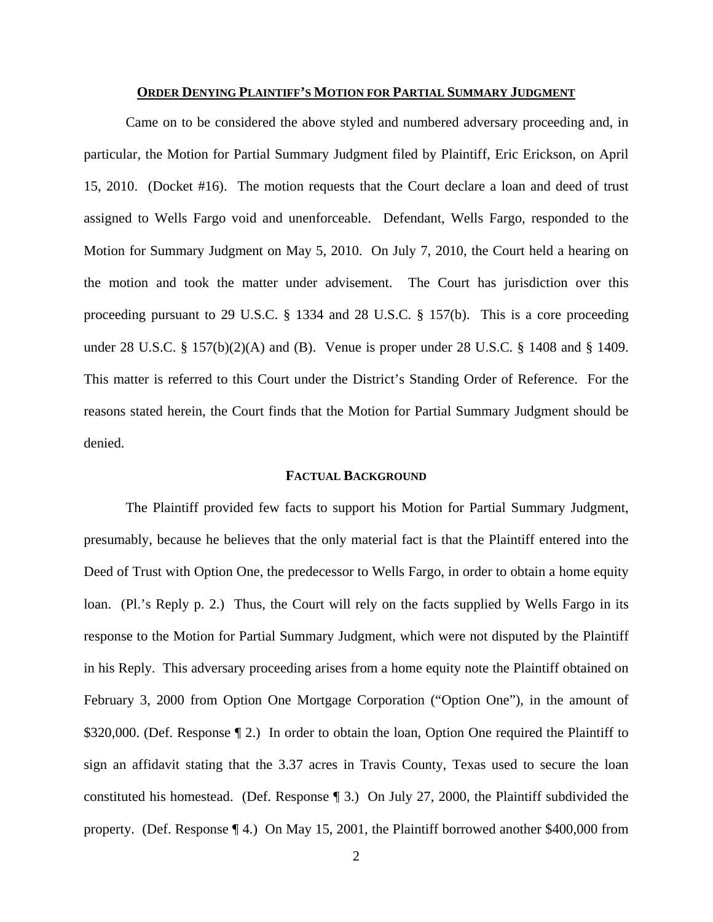#### **ORDER DENYING PLAINTIFF'S MOTION FOR PARTIAL SUMMARY JUDGMENT**

Came on to be considered the above styled and numbered adversary proceeding and, in particular, the Motion for Partial Summary Judgment filed by Plaintiff, Eric Erickson, on April 15, 2010. (Docket #16). The motion requests that the Court declare a loan and deed of trust assigned to Wells Fargo void and unenforceable. Defendant, Wells Fargo, responded to the Motion for Summary Judgment on May 5, 2010. On July 7, 2010, the Court held a hearing on the motion and took the matter under advisement. The Court has jurisdiction over this proceeding pursuant to 29 U.S.C. § 1334 and 28 U.S.C. § 157(b). This is a core proceeding under 28 U.S.C. § 157(b)(2)(A) and (B). Venue is proper under 28 U.S.C. § 1408 and § 1409. This matter is referred to this Court under the District's Standing Order of Reference. For the reasons stated herein, the Court finds that the Motion for Partial Summary Judgment should be denied.

### **FACTUAL BACKGROUND**

The Plaintiff provided few facts to support his Motion for Partial Summary Judgment, presumably, because he believes that the only material fact is that the Plaintiff entered into the Deed of Trust with Option One, the predecessor to Wells Fargo, in order to obtain a home equity loan. (Pl.'s Reply p. 2.) Thus, the Court will rely on the facts supplied by Wells Fargo in its response to the Motion for Partial Summary Judgment, which were not disputed by the Plaintiff in his Reply. This adversary proceeding arises from a home equity note the Plaintiff obtained on February 3, 2000 from Option One Mortgage Corporation ("Option One"), in the amount of \$320,000. (Def. Response 12.) In order to obtain the loan, Option One required the Plaintiff to sign an affidavit stating that the 3.37 acres in Travis County, Texas used to secure the loan constituted his homestead. (Def. Response ¶ 3.) On July 27, 2000, the Plaintiff subdivided the property. (Def. Response ¶ 4.) On May 15, 2001, the Plaintiff borrowed another \$400,000 from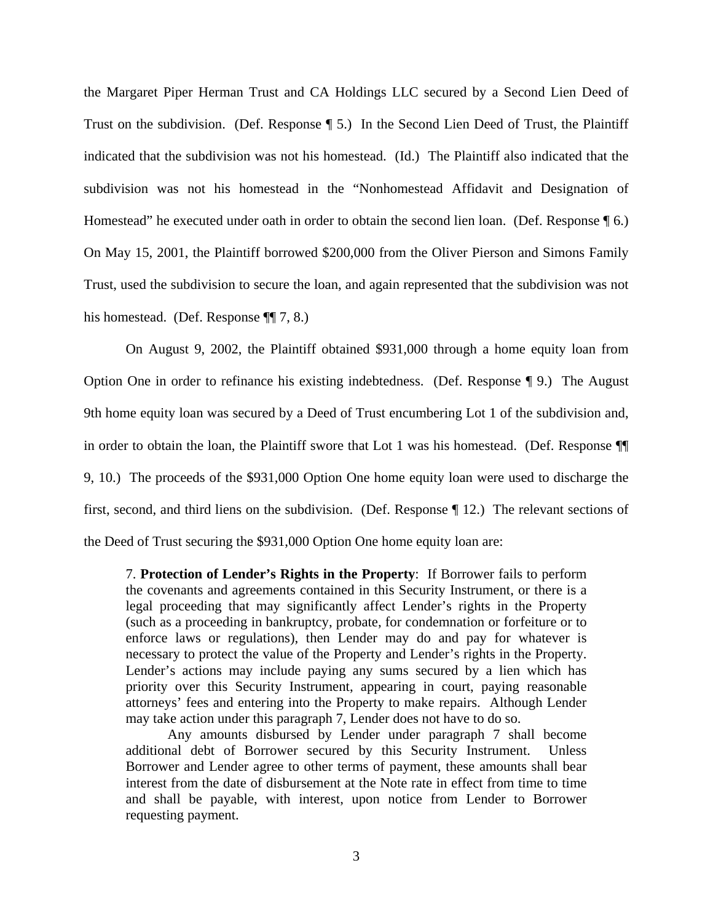the Margaret Piper Herman Trust and CA Holdings LLC secured by a Second Lien Deed of Trust on the subdivision. (Def. Response ¶ 5.) In the Second Lien Deed of Trust, the Plaintiff indicated that the subdivision was not his homestead. (Id.) The Plaintiff also indicated that the subdivision was not his homestead in the "Nonhomestead Affidavit and Designation of Homestead" he executed under oath in order to obtain the second lien loan. (Def. Response  $\P$  6.) On May 15, 2001, the Plaintiff borrowed \$200,000 from the Oliver Pierson and Simons Family Trust, used the subdivision to secure the loan, and again represented that the subdivision was not his homestead. (Def. Response ¶¶ 7, 8.)

On August 9, 2002, the Plaintiff obtained \$931,000 through a home equity loan from Option One in order to refinance his existing indebtedness. (Def. Response ¶ 9.) The August 9th home equity loan was secured by a Deed of Trust encumbering Lot 1 of the subdivision and, in order to obtain the loan, the Plaintiff swore that Lot 1 was his homestead. (Def. Response ¶¶ 9, 10.) The proceeds of the \$931,000 Option One home equity loan were used to discharge the first, second, and third liens on the subdivision. (Def. Response ¶ 12.) The relevant sections of the Deed of Trust securing the \$931,000 Option One home equity loan are:

7. **Protection of Lender's Rights in the Property**: If Borrower fails to perform the covenants and agreements contained in this Security Instrument, or there is a legal proceeding that may significantly affect Lender's rights in the Property (such as a proceeding in bankruptcy, probate, for condemnation or forfeiture or to enforce laws or regulations), then Lender may do and pay for whatever is necessary to protect the value of the Property and Lender's rights in the Property. Lender's actions may include paying any sums secured by a lien which has priority over this Security Instrument, appearing in court, paying reasonable attorneys' fees and entering into the Property to make repairs. Although Lender may take action under this paragraph 7, Lender does not have to do so.

Any amounts disbursed by Lender under paragraph 7 shall become additional debt of Borrower secured by this Security Instrument. Unless Borrower and Lender agree to other terms of payment, these amounts shall bear interest from the date of disbursement at the Note rate in effect from time to time and shall be payable, with interest, upon notice from Lender to Borrower requesting payment.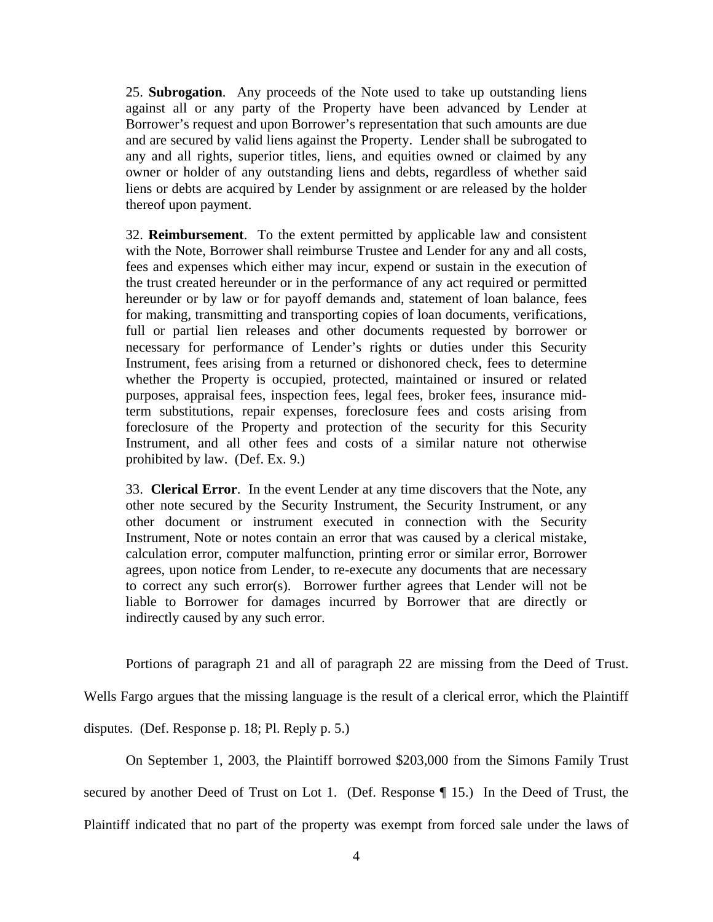25. **Subrogation**. Any proceeds of the Note used to take up outstanding liens against all or any party of the Property have been advanced by Lender at Borrower's request and upon Borrower's representation that such amounts are due and are secured by valid liens against the Property. Lender shall be subrogated to any and all rights, superior titles, liens, and equities owned or claimed by any owner or holder of any outstanding liens and debts, regardless of whether said liens or debts are acquired by Lender by assignment or are released by the holder thereof upon payment.

32. **Reimbursement**. To the extent permitted by applicable law and consistent with the Note, Borrower shall reimburse Trustee and Lender for any and all costs, fees and expenses which either may incur, expend or sustain in the execution of the trust created hereunder or in the performance of any act required or permitted hereunder or by law or for payoff demands and, statement of loan balance, fees for making, transmitting and transporting copies of loan documents, verifications, full or partial lien releases and other documents requested by borrower or necessary for performance of Lender's rights or duties under this Security Instrument, fees arising from a returned or dishonored check, fees to determine whether the Property is occupied, protected, maintained or insured or related purposes, appraisal fees, inspection fees, legal fees, broker fees, insurance midterm substitutions, repair expenses, foreclosure fees and costs arising from foreclosure of the Property and protection of the security for this Security Instrument, and all other fees and costs of a similar nature not otherwise prohibited by law. (Def. Ex. 9.)

33. **Clerical Error**. In the event Lender at any time discovers that the Note, any other note secured by the Security Instrument, the Security Instrument, or any other document or instrument executed in connection with the Security Instrument, Note or notes contain an error that was caused by a clerical mistake, calculation error, computer malfunction, printing error or similar error, Borrower agrees, upon notice from Lender, to re-execute any documents that are necessary to correct any such error(s). Borrower further agrees that Lender will not be liable to Borrower for damages incurred by Borrower that are directly or indirectly caused by any such error.

Portions of paragraph 21 and all of paragraph 22 are missing from the Deed of Trust.

Wells Fargo argues that the missing language is the result of a clerical error, which the Plaintiff

disputes. (Def. Response p. 18; Pl. Reply p. 5.)

On September 1, 2003, the Plaintiff borrowed \$203,000 from the Simons Family Trust

secured by another Deed of Trust on Lot 1. (Def. Response ¶ 15.) In the Deed of Trust, the

Plaintiff indicated that no part of the property was exempt from forced sale under the laws of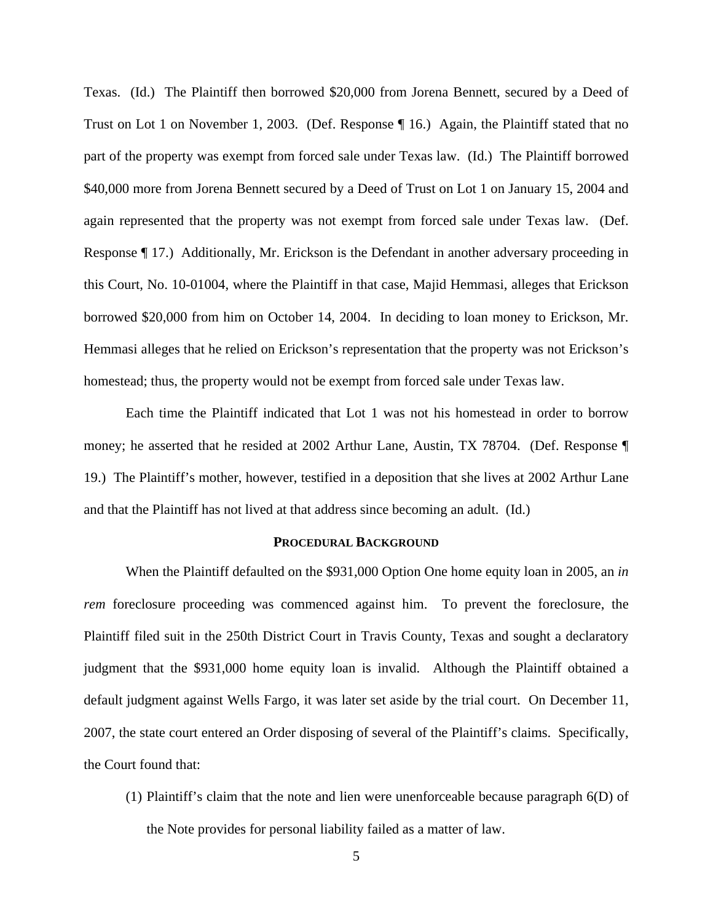Texas. (Id.) The Plaintiff then borrowed \$20,000 from Jorena Bennett, secured by a Deed of Trust on Lot 1 on November 1, 2003. (Def. Response ¶ 16.) Again, the Plaintiff stated that no part of the property was exempt from forced sale under Texas law. (Id.) The Plaintiff borrowed \$40,000 more from Jorena Bennett secured by a Deed of Trust on Lot 1 on January 15, 2004 and again represented that the property was not exempt from forced sale under Texas law. (Def. Response ¶ 17.) Additionally, Mr. Erickson is the Defendant in another adversary proceeding in this Court, No. 10-01004, where the Plaintiff in that case, Majid Hemmasi, alleges that Erickson borrowed \$20,000 from him on October 14, 2004. In deciding to loan money to Erickson, Mr. Hemmasi alleges that he relied on Erickson's representation that the property was not Erickson's homestead; thus, the property would not be exempt from forced sale under Texas law.

 Each time the Plaintiff indicated that Lot 1 was not his homestead in order to borrow money; he asserted that he resided at 2002 Arthur Lane, Austin, TX 78704. (Def. Response ¶ 19.) The Plaintiff's mother, however, testified in a deposition that she lives at 2002 Arthur Lane and that the Plaintiff has not lived at that address since becoming an adult. (Id.)

#### **PROCEDURAL BACKGROUND**

 When the Plaintiff defaulted on the \$931,000 Option One home equity loan in 2005, an *in rem* foreclosure proceeding was commenced against him. To prevent the foreclosure, the Plaintiff filed suit in the 250th District Court in Travis County, Texas and sought a declaratory judgment that the \$931,000 home equity loan is invalid. Although the Plaintiff obtained a default judgment against Wells Fargo, it was later set aside by the trial court. On December 11, 2007, the state court entered an Order disposing of several of the Plaintiff's claims. Specifically, the Court found that:

(1) Plaintiff's claim that the note and lien were unenforceable because paragraph 6(D) of the Note provides for personal liability failed as a matter of law.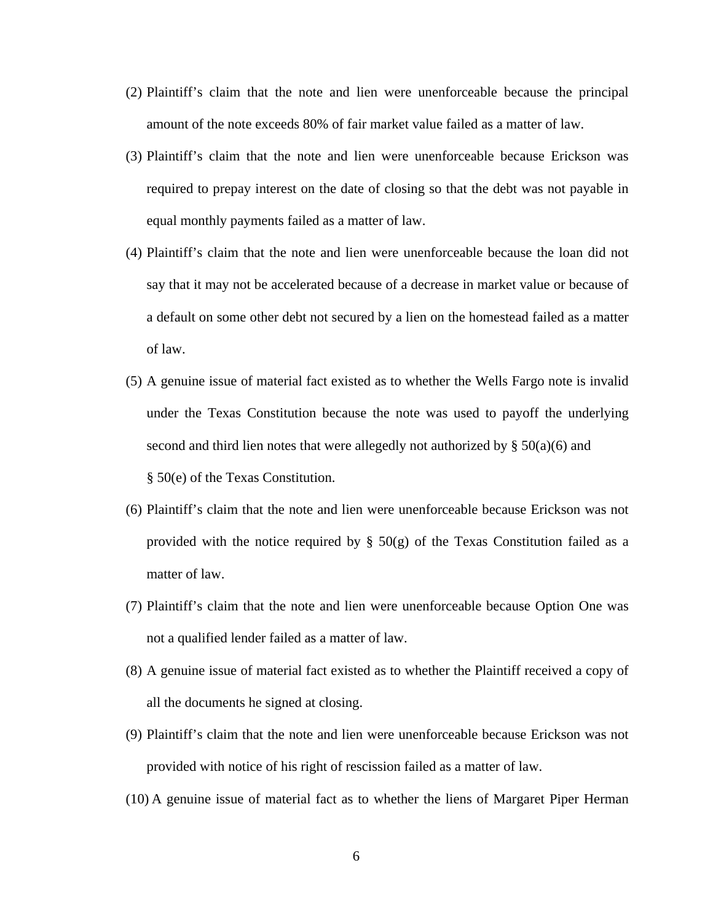- (2) Plaintiff's claim that the note and lien were unenforceable because the principal amount of the note exceeds 80% of fair market value failed as a matter of law.
- (3) Plaintiff's claim that the note and lien were unenforceable because Erickson was required to prepay interest on the date of closing so that the debt was not payable in equal monthly payments failed as a matter of law.
- (4) Plaintiff's claim that the note and lien were unenforceable because the loan did not say that it may not be accelerated because of a decrease in market value or because of a default on some other debt not secured by a lien on the homestead failed as a matter of law.
- (5) A genuine issue of material fact existed as to whether the Wells Fargo note is invalid under the Texas Constitution because the note was used to payoff the underlying second and third lien notes that were allegedly not authorized by  $\S$  50(a)(6) and § 50(e) of the Texas Constitution.
- (6) Plaintiff's claim that the note and lien were unenforceable because Erickson was not provided with the notice required by  $\S$  50(g) of the Texas Constitution failed as a matter of law.
- (7) Plaintiff's claim that the note and lien were unenforceable because Option One was not a qualified lender failed as a matter of law.
- (8) A genuine issue of material fact existed as to whether the Plaintiff received a copy of all the documents he signed at closing.
- (9) Plaintiff's claim that the note and lien were unenforceable because Erickson was not provided with notice of his right of rescission failed as a matter of law.
- (10) A genuine issue of material fact as to whether the liens of Margaret Piper Herman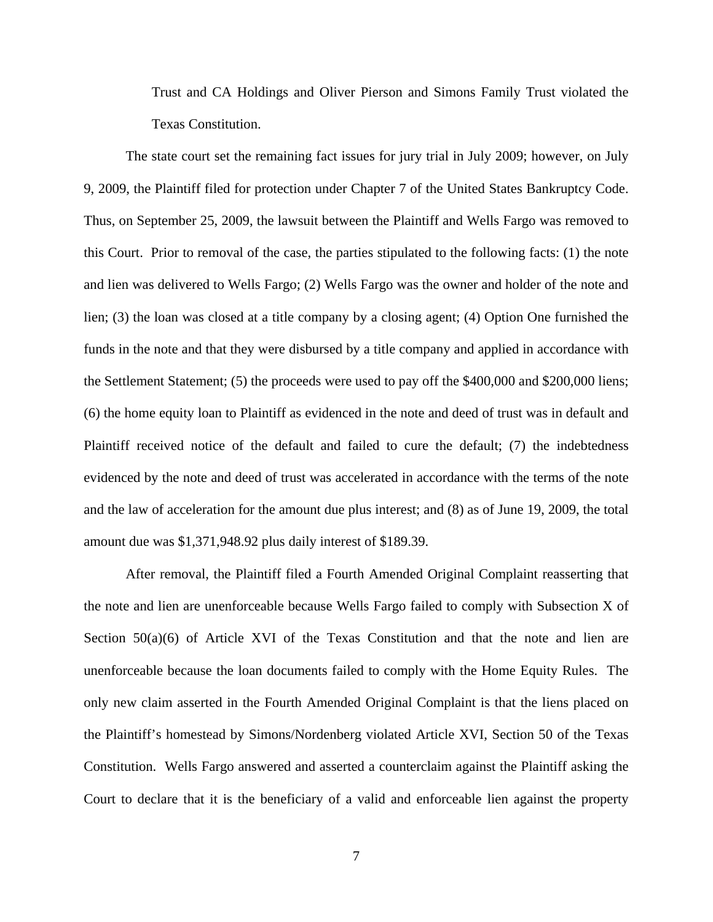Trust and CA Holdings and Oliver Pierson and Simons Family Trust violated the Texas Constitution.

The state court set the remaining fact issues for jury trial in July 2009; however, on July 9, 2009, the Plaintiff filed for protection under Chapter 7 of the United States Bankruptcy Code. Thus, on September 25, 2009, the lawsuit between the Plaintiff and Wells Fargo was removed to this Court. Prior to removal of the case, the parties stipulated to the following facts: (1) the note and lien was delivered to Wells Fargo; (2) Wells Fargo was the owner and holder of the note and lien; (3) the loan was closed at a title company by a closing agent; (4) Option One furnished the funds in the note and that they were disbursed by a title company and applied in accordance with the Settlement Statement; (5) the proceeds were used to pay off the \$400,000 and \$200,000 liens; (6) the home equity loan to Plaintiff as evidenced in the note and deed of trust was in default and Plaintiff received notice of the default and failed to cure the default; (7) the indebtedness evidenced by the note and deed of trust was accelerated in accordance with the terms of the note and the law of acceleration for the amount due plus interest; and (8) as of June 19, 2009, the total amount due was \$1,371,948.92 plus daily interest of \$189.39.

After removal, the Plaintiff filed a Fourth Amended Original Complaint reasserting that the note and lien are unenforceable because Wells Fargo failed to comply with Subsection X of Section  $50(a)(6)$  of Article XVI of the Texas Constitution and that the note and lien are unenforceable because the loan documents failed to comply with the Home Equity Rules. The only new claim asserted in the Fourth Amended Original Complaint is that the liens placed on the Plaintiff's homestead by Simons/Nordenberg violated Article XVI, Section 50 of the Texas Constitution. Wells Fargo answered and asserted a counterclaim against the Plaintiff asking the Court to declare that it is the beneficiary of a valid and enforceable lien against the property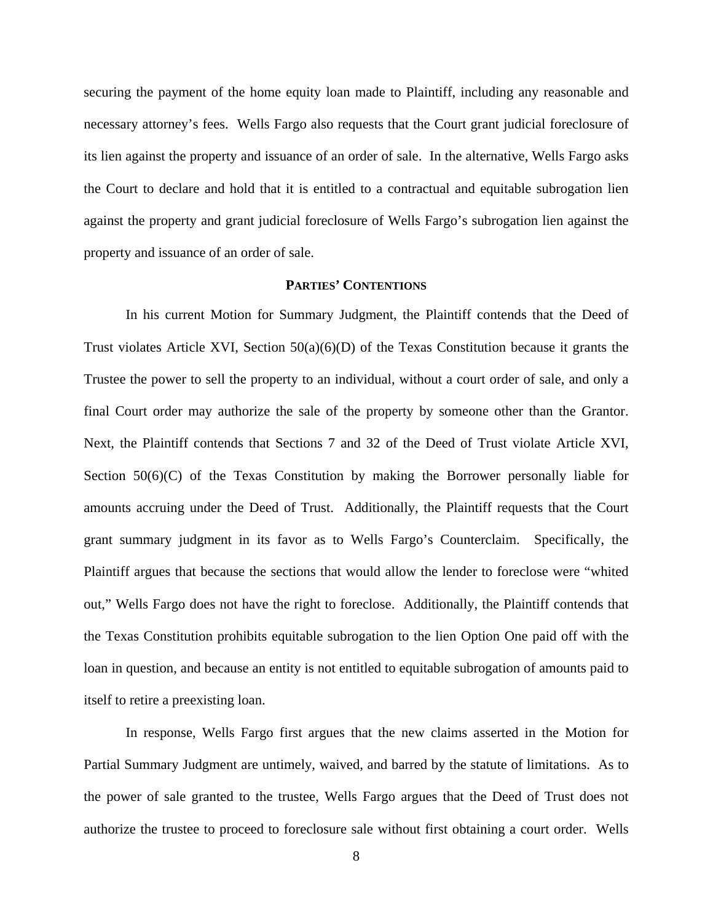securing the payment of the home equity loan made to Plaintiff, including any reasonable and necessary attorney's fees. Wells Fargo also requests that the Court grant judicial foreclosure of its lien against the property and issuance of an order of sale. In the alternative, Wells Fargo asks the Court to declare and hold that it is entitled to a contractual and equitable subrogation lien against the property and grant judicial foreclosure of Wells Fargo's subrogation lien against the property and issuance of an order of sale.

## **PARTIES' CONTENTIONS**

 In his current Motion for Summary Judgment, the Plaintiff contends that the Deed of Trust violates Article XVI, Section  $50(a)(6)(D)$  of the Texas Constitution because it grants the Trustee the power to sell the property to an individual, without a court order of sale, and only a final Court order may authorize the sale of the property by someone other than the Grantor. Next, the Plaintiff contends that Sections 7 and 32 of the Deed of Trust violate Article XVI, Section 50(6)(C) of the Texas Constitution by making the Borrower personally liable for amounts accruing under the Deed of Trust. Additionally, the Plaintiff requests that the Court grant summary judgment in its favor as to Wells Fargo's Counterclaim. Specifically, the Plaintiff argues that because the sections that would allow the lender to foreclose were "whited out," Wells Fargo does not have the right to foreclose. Additionally, the Plaintiff contends that the Texas Constitution prohibits equitable subrogation to the lien Option One paid off with the loan in question, and because an entity is not entitled to equitable subrogation of amounts paid to itself to retire a preexisting loan.

 In response, Wells Fargo first argues that the new claims asserted in the Motion for Partial Summary Judgment are untimely, waived, and barred by the statute of limitations. As to the power of sale granted to the trustee, Wells Fargo argues that the Deed of Trust does not authorize the trustee to proceed to foreclosure sale without first obtaining a court order. Wells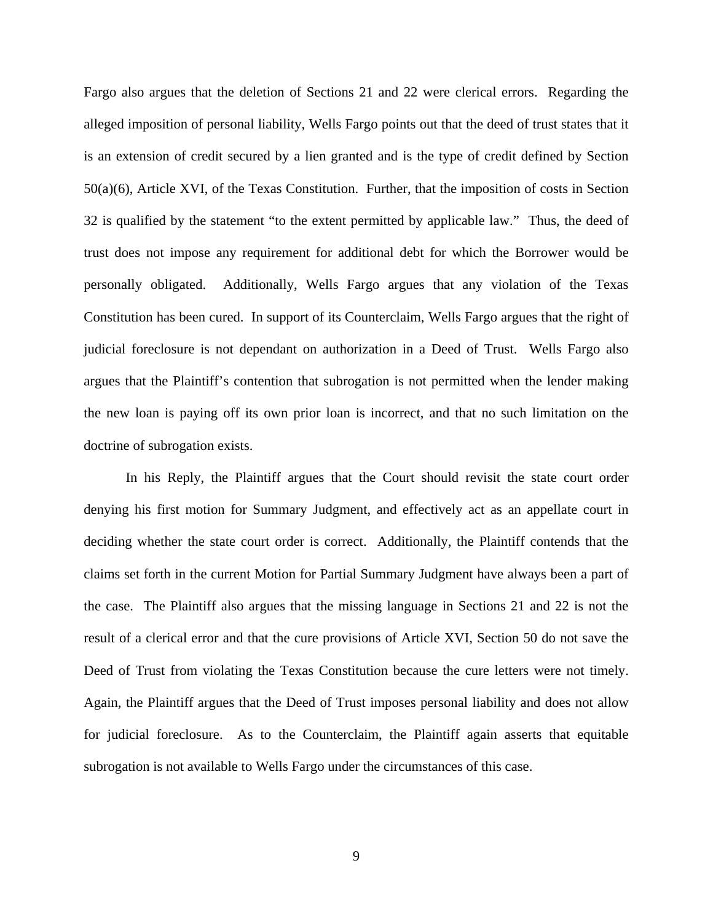Fargo also argues that the deletion of Sections 21 and 22 were clerical errors. Regarding the alleged imposition of personal liability, Wells Fargo points out that the deed of trust states that it is an extension of credit secured by a lien granted and is the type of credit defined by Section 50(a)(6), Article XVI, of the Texas Constitution. Further, that the imposition of costs in Section 32 is qualified by the statement "to the extent permitted by applicable law." Thus, the deed of trust does not impose any requirement for additional debt for which the Borrower would be personally obligated. Additionally, Wells Fargo argues that any violation of the Texas Constitution has been cured. In support of its Counterclaim, Wells Fargo argues that the right of judicial foreclosure is not dependant on authorization in a Deed of Trust. Wells Fargo also argues that the Plaintiff's contention that subrogation is not permitted when the lender making the new loan is paying off its own prior loan is incorrect, and that no such limitation on the doctrine of subrogation exists.

 In his Reply, the Plaintiff argues that the Court should revisit the state court order denying his first motion for Summary Judgment, and effectively act as an appellate court in deciding whether the state court order is correct. Additionally, the Plaintiff contends that the claims set forth in the current Motion for Partial Summary Judgment have always been a part of the case. The Plaintiff also argues that the missing language in Sections 21 and 22 is not the result of a clerical error and that the cure provisions of Article XVI, Section 50 do not save the Deed of Trust from violating the Texas Constitution because the cure letters were not timely. Again, the Plaintiff argues that the Deed of Trust imposes personal liability and does not allow for judicial foreclosure. As to the Counterclaim, the Plaintiff again asserts that equitable subrogation is not available to Wells Fargo under the circumstances of this case.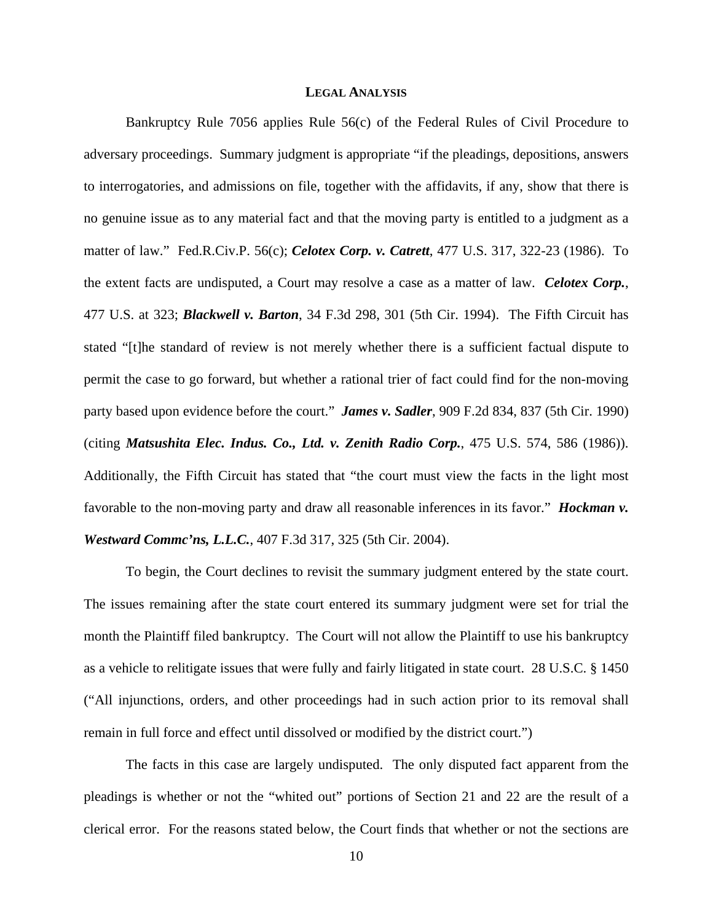#### **LEGAL ANALYSIS**

Bankruptcy Rule 7056 applies Rule 56(c) of the Federal Rules of Civil Procedure to adversary proceedings. Summary judgment is appropriate "if the pleadings, depositions, answers to interrogatories, and admissions on file, together with the affidavits, if any, show that there is no genuine issue as to any material fact and that the moving party is entitled to a judgment as a matter of law." Fed.R.Civ.P. 56(c); *Celotex Corp. v. Catrett*, 477 U.S. 317, 322-23 (1986). To the extent facts are undisputed, a Court may resolve a case as a matter of law. *Celotex Corp.*, 477 U.S. at 323; *Blackwell v. Barton*, 34 F.3d 298, 301 (5th Cir. 1994). The Fifth Circuit has stated "[t]he standard of review is not merely whether there is a sufficient factual dispute to permit the case to go forward, but whether a rational trier of fact could find for the non-moving party based upon evidence before the court." *James v. Sadler*, 909 F.2d 834, 837 (5th Cir. 1990) (citing *Matsushita Elec. Indus. Co., Ltd. v. Zenith Radio Corp.*, 475 U.S. 574, 586 (1986)). Additionally, the Fifth Circuit has stated that "the court must view the facts in the light most favorable to the non-moving party and draw all reasonable inferences in its favor." *Hockman v. Westward Commc'ns, L.L.C.*, 407 F.3d 317, 325 (5th Cir. 2004).

To begin, the Court declines to revisit the summary judgment entered by the state court. The issues remaining after the state court entered its summary judgment were set for trial the month the Plaintiff filed bankruptcy. The Court will not allow the Plaintiff to use his bankruptcy as a vehicle to relitigate issues that were fully and fairly litigated in state court. 28 U.S.C. § 1450 ("All injunctions, orders, and other proceedings had in such action prior to its removal shall remain in full force and effect until dissolved or modified by the district court.")

The facts in this case are largely undisputed. The only disputed fact apparent from the pleadings is whether or not the "whited out" portions of Section 21 and 22 are the result of a clerical error. For the reasons stated below, the Court finds that whether or not the sections are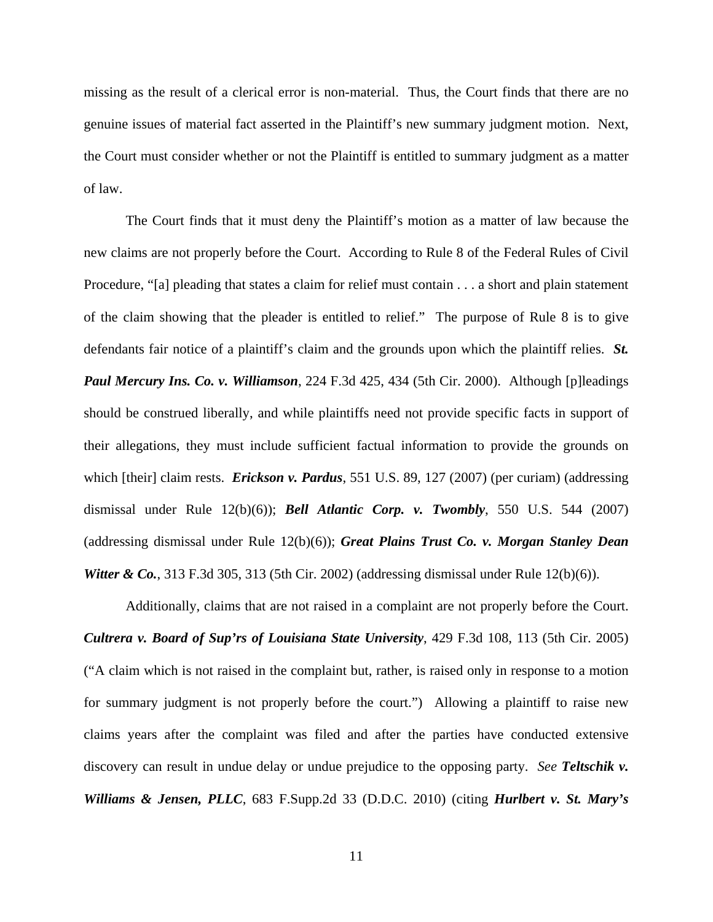missing as the result of a clerical error is non-material. Thus, the Court finds that there are no genuine issues of material fact asserted in the Plaintiff's new summary judgment motion. Next, the Court must consider whether or not the Plaintiff is entitled to summary judgment as a matter of law.

The Court finds that it must deny the Plaintiff's motion as a matter of law because the new claims are not properly before the Court. According to Rule 8 of the Federal Rules of Civil Procedure, "[a] pleading that states a claim for relief must contain . . . a short and plain statement of the claim showing that the pleader is entitled to relief." The purpose of Rule 8 is to give defendants fair notice of a plaintiff's claim and the grounds upon which the plaintiff relies. *St. Paul Mercury Ins. Co. v. Williamson*, 224 F.3d 425, 434 (5th Cir. 2000). Although [p]leadings should be construed liberally, and while plaintiffs need not provide specific facts in support of their allegations, they must include sufficient factual information to provide the grounds on which [their] claim rests. *Erickson v. Pardus*, 551 U.S. 89, 127 (2007) (per curiam) (addressing dismissal under Rule 12(b)(6)); *Bell Atlantic Corp. v. Twombly*, 550 U.S. 544 (2007) (addressing dismissal under Rule 12(b)(6)); *Great Plains Trust Co. v. Morgan Stanley Dean Witter & Co.*, 313 F.3d 305, 313 (5th Cir. 2002) (addressing dismissal under Rule 12(b)(6)).

Additionally, claims that are not raised in a complaint are not properly before the Court. *Cultrera v. Board of Sup'rs of Louisiana State University*, 429 F.3d 108, 113 (5th Cir. 2005) ("A claim which is not raised in the complaint but, rather, is raised only in response to a motion for summary judgment is not properly before the court.") Allowing a plaintiff to raise new claims years after the complaint was filed and after the parties have conducted extensive discovery can result in undue delay or undue prejudice to the opposing party. *See Teltschik v. Williams & Jensen, PLLC*, 683 F.Supp.2d 33 (D.D.C. 2010) (citing *Hurlbert v. St. Mary's*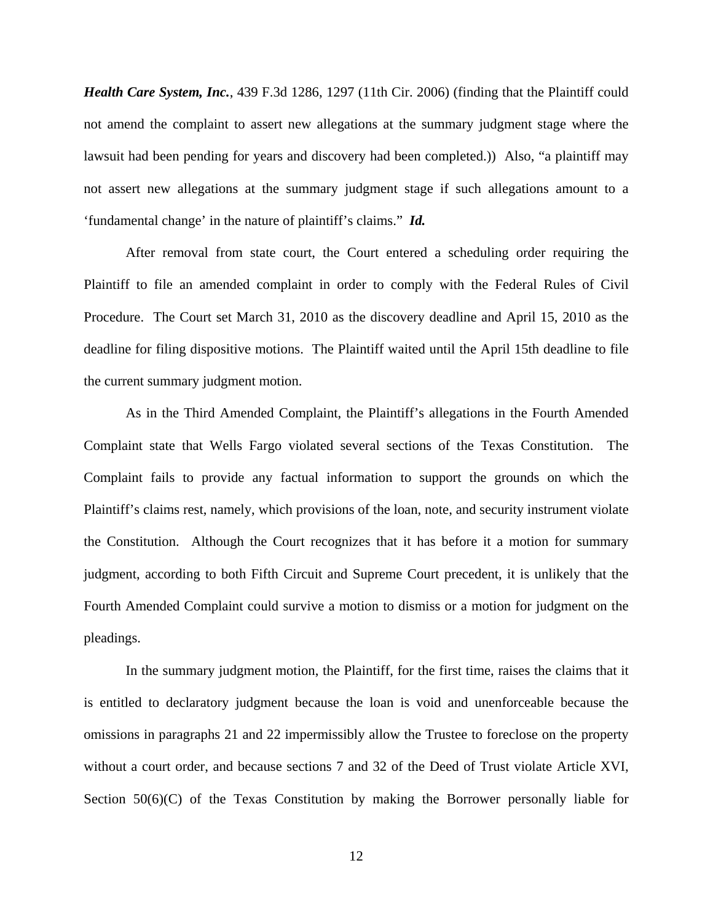*Health Care System, Inc.*, 439 F.3d 1286, 1297 (11th Cir. 2006) (finding that the Plaintiff could not amend the complaint to assert new allegations at the summary judgment stage where the lawsuit had been pending for years and discovery had been completed.)) Also, "a plaintiff may not assert new allegations at the summary judgment stage if such allegations amount to a 'fundamental change' in the nature of plaintiff's claims." *Id.* 

After removal from state court, the Court entered a scheduling order requiring the Plaintiff to file an amended complaint in order to comply with the Federal Rules of Civil Procedure. The Court set March 31, 2010 as the discovery deadline and April 15, 2010 as the deadline for filing dispositive motions. The Plaintiff waited until the April 15th deadline to file the current summary judgment motion.

As in the Third Amended Complaint, the Plaintiff's allegations in the Fourth Amended Complaint state that Wells Fargo violated several sections of the Texas Constitution. The Complaint fails to provide any factual information to support the grounds on which the Plaintiff's claims rest, namely, which provisions of the loan, note, and security instrument violate the Constitution. Although the Court recognizes that it has before it a motion for summary judgment, according to both Fifth Circuit and Supreme Court precedent, it is unlikely that the Fourth Amended Complaint could survive a motion to dismiss or a motion for judgment on the pleadings.

In the summary judgment motion, the Plaintiff, for the first time, raises the claims that it is entitled to declaratory judgment because the loan is void and unenforceable because the omissions in paragraphs 21 and 22 impermissibly allow the Trustee to foreclose on the property without a court order, and because sections 7 and 32 of the Deed of Trust violate Article XVI, Section  $50(6)(C)$  of the Texas Constitution by making the Borrower personally liable for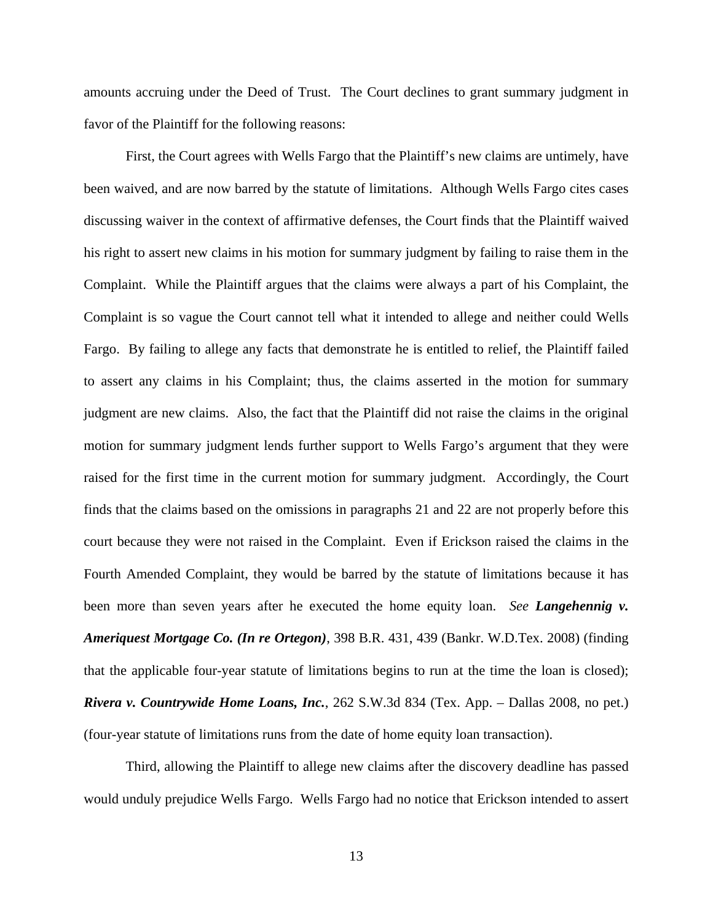amounts accruing under the Deed of Trust. The Court declines to grant summary judgment in favor of the Plaintiff for the following reasons:

First, the Court agrees with Wells Fargo that the Plaintiff's new claims are untimely, have been waived, and are now barred by the statute of limitations. Although Wells Fargo cites cases discussing waiver in the context of affirmative defenses, the Court finds that the Plaintiff waived his right to assert new claims in his motion for summary judgment by failing to raise them in the Complaint. While the Plaintiff argues that the claims were always a part of his Complaint, the Complaint is so vague the Court cannot tell what it intended to allege and neither could Wells Fargo. By failing to allege any facts that demonstrate he is entitled to relief, the Plaintiff failed to assert any claims in his Complaint; thus, the claims asserted in the motion for summary judgment are new claims. Also, the fact that the Plaintiff did not raise the claims in the original motion for summary judgment lends further support to Wells Fargo's argument that they were raised for the first time in the current motion for summary judgment. Accordingly, the Court finds that the claims based on the omissions in paragraphs 21 and 22 are not properly before this court because they were not raised in the Complaint. Even if Erickson raised the claims in the Fourth Amended Complaint, they would be barred by the statute of limitations because it has been more than seven years after he executed the home equity loan. *See Langehennig v. Ameriquest Mortgage Co. (In re Ortegon)*, 398 B.R. 431, 439 (Bankr. W.D.Tex. 2008) (finding that the applicable four-year statute of limitations begins to run at the time the loan is closed); *Rivera v. Countrywide Home Loans, Inc.*, 262 S.W.3d 834 (Tex. App. – Dallas 2008, no pet.) (four-year statute of limitations runs from the date of home equity loan transaction).

Third, allowing the Plaintiff to allege new claims after the discovery deadline has passed would unduly prejudice Wells Fargo. Wells Fargo had no notice that Erickson intended to assert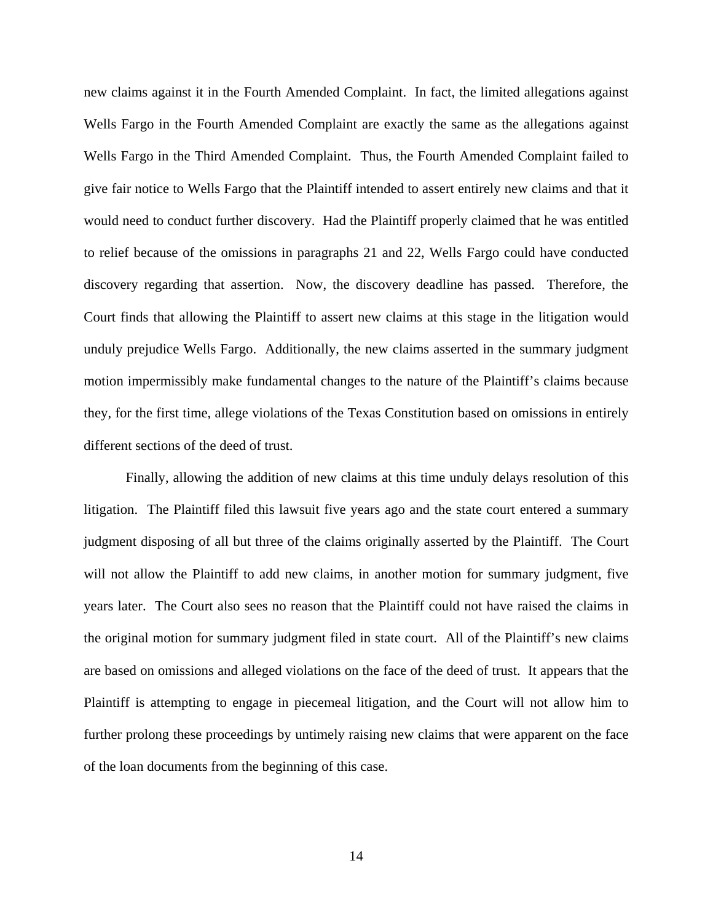new claims against it in the Fourth Amended Complaint. In fact, the limited allegations against Wells Fargo in the Fourth Amended Complaint are exactly the same as the allegations against Wells Fargo in the Third Amended Complaint. Thus, the Fourth Amended Complaint failed to give fair notice to Wells Fargo that the Plaintiff intended to assert entirely new claims and that it would need to conduct further discovery. Had the Plaintiff properly claimed that he was entitled to relief because of the omissions in paragraphs 21 and 22, Wells Fargo could have conducted discovery regarding that assertion. Now, the discovery deadline has passed. Therefore, the Court finds that allowing the Plaintiff to assert new claims at this stage in the litigation would unduly prejudice Wells Fargo. Additionally, the new claims asserted in the summary judgment motion impermissibly make fundamental changes to the nature of the Plaintiff's claims because they, for the first time, allege violations of the Texas Constitution based on omissions in entirely different sections of the deed of trust.

Finally, allowing the addition of new claims at this time unduly delays resolution of this litigation. The Plaintiff filed this lawsuit five years ago and the state court entered a summary judgment disposing of all but three of the claims originally asserted by the Plaintiff. The Court will not allow the Plaintiff to add new claims, in another motion for summary judgment, five years later. The Court also sees no reason that the Plaintiff could not have raised the claims in the original motion for summary judgment filed in state court. All of the Plaintiff's new claims are based on omissions and alleged violations on the face of the deed of trust. It appears that the Plaintiff is attempting to engage in piecemeal litigation, and the Court will not allow him to further prolong these proceedings by untimely raising new claims that were apparent on the face of the loan documents from the beginning of this case.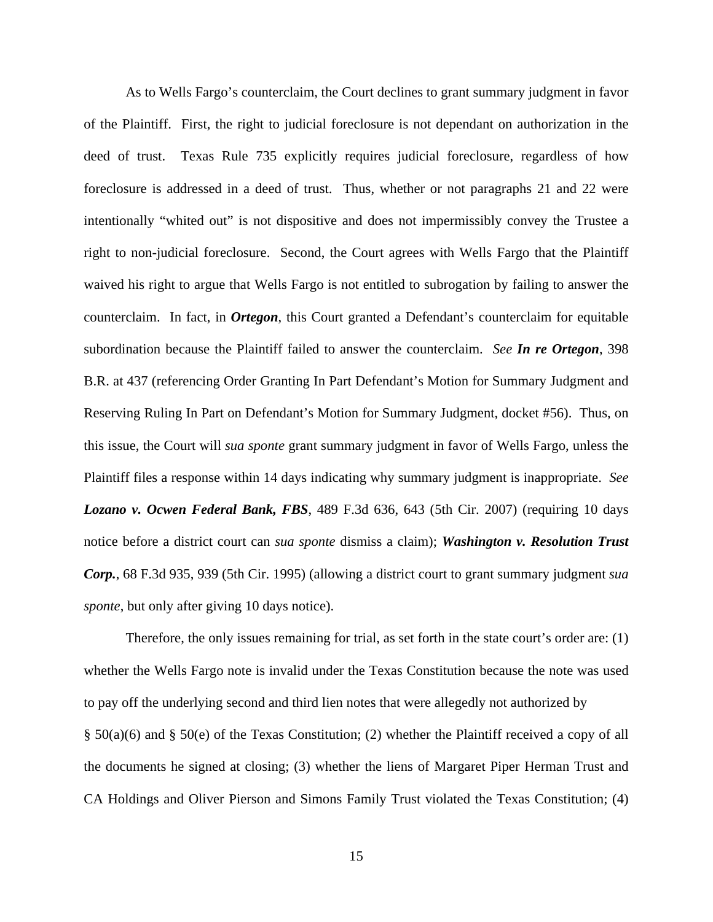As to Wells Fargo's counterclaim, the Court declines to grant summary judgment in favor of the Plaintiff. First, the right to judicial foreclosure is not dependant on authorization in the deed of trust. Texas Rule 735 explicitly requires judicial foreclosure, regardless of how foreclosure is addressed in a deed of trust. Thus, whether or not paragraphs 21 and 22 were intentionally "whited out" is not dispositive and does not impermissibly convey the Trustee a right to non-judicial foreclosure. Second, the Court agrees with Wells Fargo that the Plaintiff waived his right to argue that Wells Fargo is not entitled to subrogation by failing to answer the counterclaim. In fact, in *Ortegon*, this Court granted a Defendant's counterclaim for equitable subordination because the Plaintiff failed to answer the counterclaim. *See In re Ortegon*, 398 B.R. at 437 (referencing Order Granting In Part Defendant's Motion for Summary Judgment and Reserving Ruling In Part on Defendant's Motion for Summary Judgment, docket #56). Thus, on this issue, the Court will *sua sponte* grant summary judgment in favor of Wells Fargo, unless the Plaintiff files a response within 14 days indicating why summary judgment is inappropriate. *See Lozano v. Ocwen Federal Bank, FBS*, 489 F.3d 636, 643 (5th Cir. 2007) (requiring 10 days notice before a district court can *sua sponte* dismiss a claim); *Washington v. Resolution Trust Corp.*, 68 F.3d 935, 939 (5th Cir. 1995) (allowing a district court to grant summary judgment *sua sponte*, but only after giving 10 days notice).

Therefore, the only issues remaining for trial, as set forth in the state court's order are: (1) whether the Wells Fargo note is invalid under the Texas Constitution because the note was used to pay off the underlying second and third lien notes that were allegedly not authorized by § 50(a)(6) and § 50(e) of the Texas Constitution; (2) whether the Plaintiff received a copy of all the documents he signed at closing; (3) whether the liens of Margaret Piper Herman Trust and CA Holdings and Oliver Pierson and Simons Family Trust violated the Texas Constitution; (4)